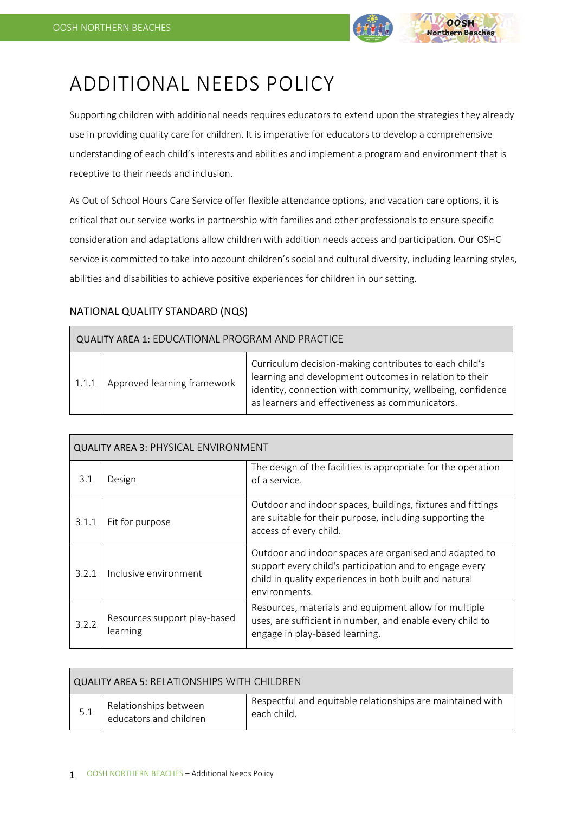

# ADDITIONAL NEEDS POLICY

Supporting children with additional needs requires educators to extend upon the strategies they already use in providing quality care for children. It is imperative for educators to develop a comprehensive understanding of each child's interests and abilities and implement a program and environment that is receptive to their needs and inclusion.

As Out of School Hours Care Service offer flexible attendance options, and vacation care options, it is critical that our service works in partnership with families and other professionals to ensure specific consideration and adaptations allow children with addition needs access and participation. Our OSHC service is committed to take into account children's social and cultural diversity, including learning styles, abilities and disabilities to achieve positive experiences for children in our setting.

# NATIONAL QUALITY STANDARD (NQS)

| <b>QUALITY AREA 1: EDUCATIONAL PROGRAM AND PRACTICE</b> |                             |                                                                                                                                                                                                                                   |  |
|---------------------------------------------------------|-----------------------------|-----------------------------------------------------------------------------------------------------------------------------------------------------------------------------------------------------------------------------------|--|
| 1.1.1                                                   | Approved learning framework | Curriculum decision-making contributes to each child's<br>learning and development outcomes in relation to their<br>identity, connection with community, wellbeing, confidence<br>as learners and effectiveness as communicators. |  |

| <b>QUALITY AREA 3: PHYSICAL ENVIRONMENT</b> |                                          |                                                                                                                                                                                              |  |
|---------------------------------------------|------------------------------------------|----------------------------------------------------------------------------------------------------------------------------------------------------------------------------------------------|--|
| 3.1                                         | Design                                   | The design of the facilities is appropriate for the operation<br>of a service.                                                                                                               |  |
| 3.1.1                                       | Fit for purpose                          | Outdoor and indoor spaces, buildings, fixtures and fittings<br>are suitable for their purpose, including supporting the<br>access of every child.                                            |  |
| 3.2.1                                       | Inclusive environment                    | Outdoor and indoor spaces are organised and adapted to<br>support every child's participation and to engage every<br>child in quality experiences in both built and natural<br>environments. |  |
| 3.2.2                                       | Resources support play-based<br>learning | Resources, materials and equipment allow for multiple<br>uses, are sufficient in number, and enable every child to<br>engage in play-based learning.                                         |  |

| QUALITY AREA 5: RELATIONSHIPS WITH CHILDREN_ |                                                 |                                                                           |  |
|----------------------------------------------|-------------------------------------------------|---------------------------------------------------------------------------|--|
| 5.1                                          | Relationships between<br>educators and children | Respectful and equitable relationships are maintained with<br>each child. |  |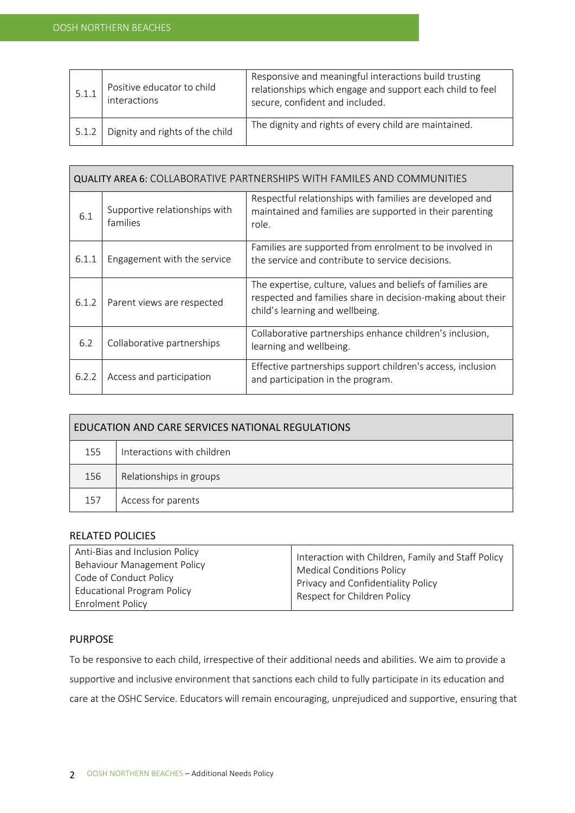| 5.1.1 | Positive educator to child<br>interactions | Responsive and meaningful interactions build trusting<br>relationships which engage and support each child to feel<br>secure, confident and included. |
|-------|--------------------------------------------|-------------------------------------------------------------------------------------------------------------------------------------------------------|
| 5.1.2 | Dignity and rights of the child            | The dignity and rights of every child are maintained.                                                                                                 |

| <b>QUALITY AREA 6: COLLABORATIVE PARTNERSHIPS WITH FAMILES AND COMMUNITIES</b> |                                           |                                                                                                                                                              |  |
|--------------------------------------------------------------------------------|-------------------------------------------|--------------------------------------------------------------------------------------------------------------------------------------------------------------|--|
| 6.1                                                                            | Supportive relationships with<br>families | Respectful relationships with families are developed and<br>maintained and families are supported in their parenting<br>role.                                |  |
| 6.1.1                                                                          | Engagement with the service               | Families are supported from enrolment to be involved in<br>the service and contribute to service decisions.                                                  |  |
| 6.1.2                                                                          | Parent views are respected                | The expertise, culture, values and beliefs of families are<br>respected and families share in decision-making about their<br>child's learning and wellbeing. |  |
| 6.2                                                                            | Collaborative partnerships                | Collaborative partnerships enhance children's inclusion,<br>learning and wellbeing.                                                                          |  |
| 6.2.2                                                                          | Access and participation                  | Effective partnerships support children's access, inclusion<br>and participation in the program.                                                             |  |

| EDUCATION AND CARE SERVICES NATIONAL REGULATIONS |                            |  |
|--------------------------------------------------|----------------------------|--|
| 155                                              | Interactions with children |  |
| 156                                              | Relationships in groups    |  |
| 157                                              | Access for parents         |  |

## RELATED POLICIES

## PURPOSE

To be responsive to each child, irrespective of their additional needs and abilities. We aim to provide a supportive and inclusive environment that sanctions each child to fully participate in its education and care at the OSHC Service. Educators will remain encouraging, unprejudiced and supportive, ensuring that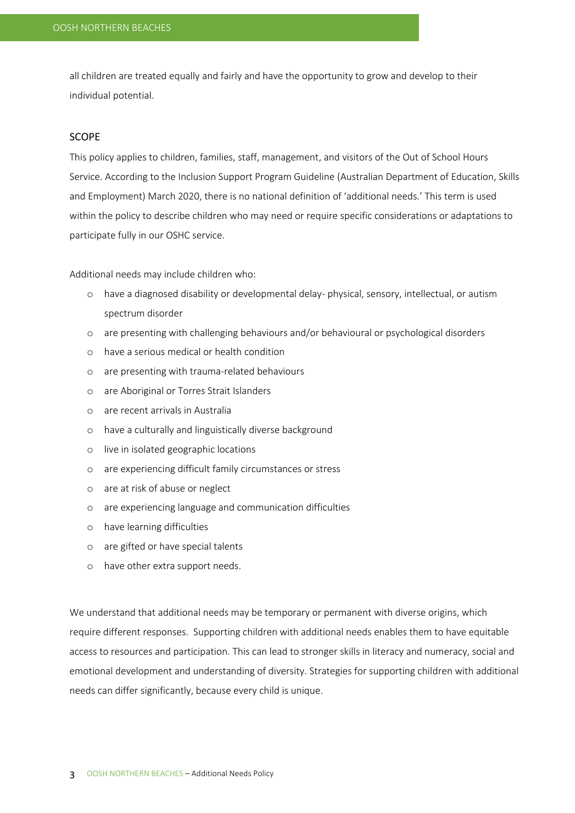all children are treated equally and fairly and have the opportunity to grow and develop to their individual potential.

## SCOPE

This policy applies to children, families, staff, management, and visitors of the Out of School Hours Service. According to the Inclusion Support Program Guideline (Australian Department of Education, Skills and Employment) March 2020, there is no national definition of 'additional needs.' This term is used within the policy to describe children who may need or require specific considerations or adaptations to participate fully in our OSHC service.

Additional needs may include children who:

- o have a diagnosed disability or developmental delay- physical, sensory, intellectual, or autism spectrum disorder
- o are presenting with challenging behaviours and/or behavioural or psychological disorders
- o have a serious medical or health condition
- o are presenting with trauma-related behaviours
- o are Aboriginal or Torres Strait Islanders
- o are recent arrivals in Australia
- o have a culturally and linguistically diverse background
- o live in isolated geographic locations
- o are experiencing difficult family circumstances or stress
- o are at risk of abuse or neglect
- o are experiencing language and communication difficulties
- o have learning difficulties
- o are gifted or have special talents
- o have other extra support needs.

We understand that additional needs may be temporary or permanent with diverse origins, which require different responses. Supporting children with additional needs enables them to have equitable access to resources and participation. This can lead to stronger skills in literacy and numeracy, social and emotional development and understanding of diversity. Strategies for supporting children with additional needs can differ significantly, because every child is unique.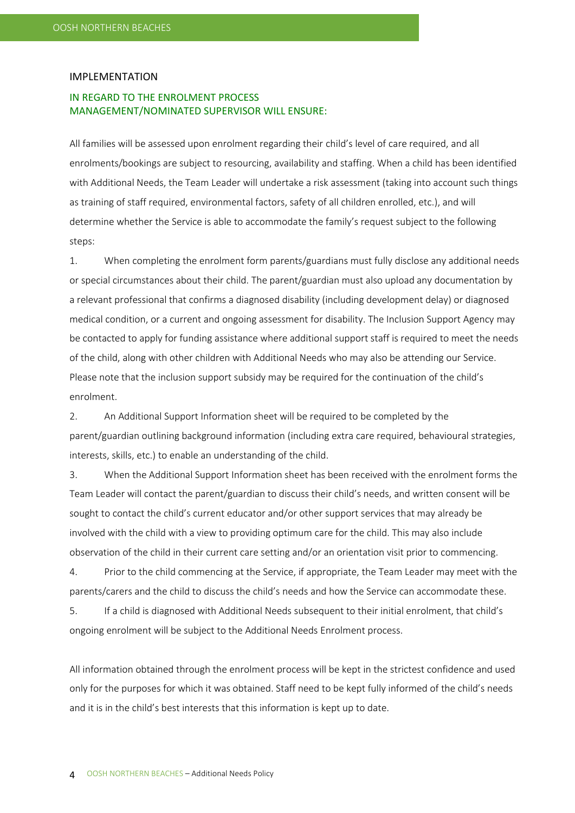#### IMPLEMENTATION

## IN REGARD TO THE ENROLMENT PROCESS MANAGEMENT/NOMINATED SUPERVISOR WILL ENSURE:

All families will be assessed upon enrolment regarding their child's level of care required, and all enrolments/bookings are subject to resourcing, availability and staffing. When a child has been identified with Additional Needs, the Team Leader will undertake a risk assessment (taking into account such things as training of staff required, environmental factors, safety of all children enrolled, etc.), and will determine whether the Service is able to accommodate the family's request subject to the following steps:

1. When completing the enrolment form parents/guardians must fully disclose any additional needs or special circumstances about their child. The parent/guardian must also upload any documentation by a relevant professional that confirms a diagnosed disability (including development delay) or diagnosed medical condition, or a current and ongoing assessment for disability. The Inclusion Support Agency may be contacted to apply for funding assistance where additional support staff is required to meet the needs of the child, along with other children with Additional Needs who may also be attending our Service. Please note that the inclusion support subsidy may be required for the continuation of the child's enrolment.

2. An Additional Support Information sheet will be required to be completed by the parent/guardian outlining background information (including extra care required, behavioural strategies, interests, skills, etc.) to enable an understanding of the child.

3. When the Additional Support Information sheet has been received with the enrolment forms the Team Leader will contact the parent/guardian to discuss their child's needs, and written consent will be sought to contact the child's current educator and/or other support services that may already be involved with the child with a view to providing optimum care for the child. This may also include observation of the child in their current care setting and/or an orientation visit prior to commencing.

4. Prior to the child commencing at the Service, if appropriate, the Team Leader may meet with the parents/carers and the child to discuss the child's needs and how the Service can accommodate these.

5. If a child is diagnosed with Additional Needs subsequent to their initial enrolment, that child's ongoing enrolment will be subject to the Additional Needs Enrolment process.

All information obtained through the enrolment process will be kept in the strictest confidence and used only for the purposes for which it was obtained. Staff need to be kept fully informed of the child's needs and it is in the child's best interests that this information is kept up to date.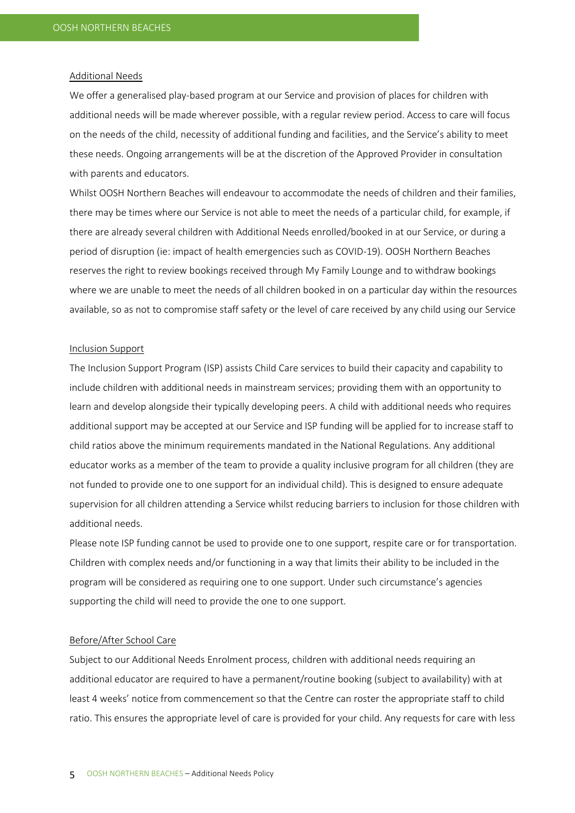#### Additional Needs

We offer a generalised play-based program at our Service and provision of places for children with additional needs will be made wherever possible, with a regular review period. Access to care will focus on the needs of the child, necessity of additional funding and facilities, and the Service's ability to meet these needs. Ongoing arrangements will be at the discretion of the Approved Provider in consultation with parents and educators.

Whilst OOSH Northern Beaches will endeavour to accommodate the needs of children and their families, there may be times where our Service is not able to meet the needs of a particular child, for example, if there are already several children with Additional Needs enrolled/booked in at our Service, or during a period of disruption (ie: impact of health emergencies such as COVID-19). OOSH Northern Beaches reserves the right to review bookings received through My Family Lounge and to withdraw bookings where we are unable to meet the needs of all children booked in on a particular day within the resources available, so as not to compromise staff safety or the level of care received by any child using our Service

#### Inclusion Support

The Inclusion Support Program (ISP) assists Child Care services to build their capacity and capability to include children with additional needs in mainstream services; providing them with an opportunity to learn and develop alongside their typically developing peers. A child with additional needs who requires additional support may be accepted at our Service and ISP funding will be applied for to increase staff to child ratios above the minimum requirements mandated in the National Regulations. Any additional educator works as a member of the team to provide a quality inclusive program for all children (they are not funded to provide one to one support for an individual child). This is designed to ensure adequate supervision for all children attending a Service whilst reducing barriers to inclusion for those children with additional needs.

Please note ISP funding cannot be used to provide one to one support, respite care or for transportation. Children with complex needs and/or functioning in a way that limits their ability to be included in the program will be considered as requiring one to one support. Under such circumstance's agencies supporting the child will need to provide the one to one support.

#### Before/After School Care

Subject to our Additional Needs Enrolment process, children with additional needs requiring an additional educator are required to have a permanent/routine booking (subject to availability) with at least 4 weeks' notice from commencement so that the Centre can roster the appropriate staff to child ratio. This ensures the appropriate level of care is provided for your child. Any requests for care with less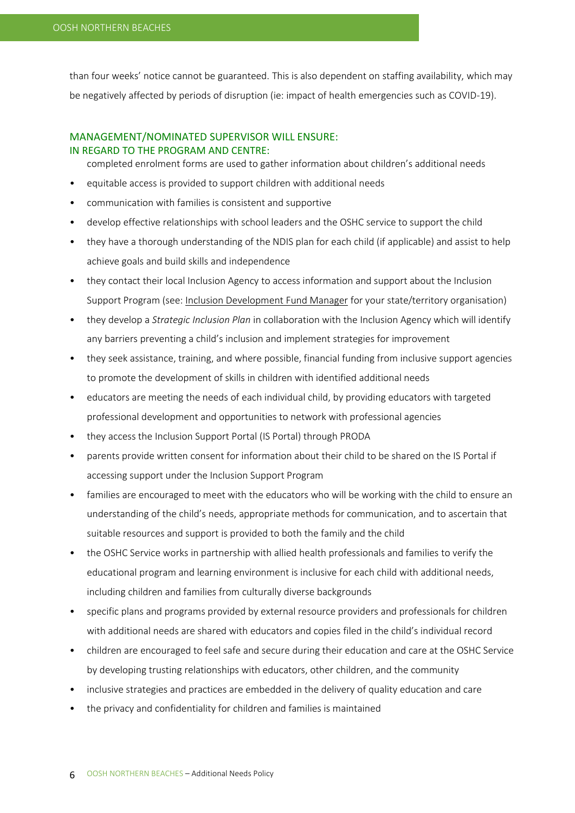than four weeks' notice cannot be guaranteed. This is also dependent on staffing availability, which may be negatively affected by periods of disruption (ie: impact of health emergencies such as COVID-19).

## MANAGEMENT/NOMINATED SUPERVISOR WILL ENSURE: IN REGARD TO THE PROGRAM AND CENTRE:

completed enrolment forms are used to gather information about children's additional needs

- equitable access is provided to support children with additional needs
- communication with families is consistent and supportive
- develop effective relationships with school leaders and the OSHC service to support the child
- they have a thorough understanding of the NDIS plan for each child (if applicable) and assist to help achieve goals and build skills and independence
- they contact their local Inclusion Agency to access information and support about the Inclusion Support Program (see: [Inclusion Development Fund Manager](https://www.education.gov.au/inclusion-support-program-isp) for your state/territory organisation)
- they develop a *Strategic Inclusion Plan* in collaboration with the Inclusion Agency which will identify any barriers preventing a child's inclusion and implement strategies for improvement
- they seek assistance, training, and where possible, financial funding from inclusive support agencies to promote the development of skills in children with identified additional needs
- educators are meeting the needs of each individual child, by providing educators with targeted professional development and opportunities to network with professional agencies
- they access the Inclusion Support Portal (IS Portal) through PRODA
- parents provide written consent for information about their child to be shared on the IS Portal if accessing support under the Inclusion Support Program
- families are encouraged to meet with the educators who will be working with the child to ensure an understanding of the child's needs, appropriate methods for communication, and to ascertain that suitable resources and support is provided to both the family and the child
- the OSHC Service works in partnership with allied health professionals and families to verify the educational program and learning environment is inclusive for each child with additional needs, including children and families from culturally diverse backgrounds
- specific plans and programs provided by external resource providers and professionals for children with additional needs are shared with educators and copies filed in the child's individual record
- children are encouraged to feel safe and secure during their education and care at the OSHC Service by developing trusting relationships with educators, other children, and the community
- inclusive strategies and practices are embedded in the delivery of quality education and care
- the privacy and confidentiality for children and families is maintained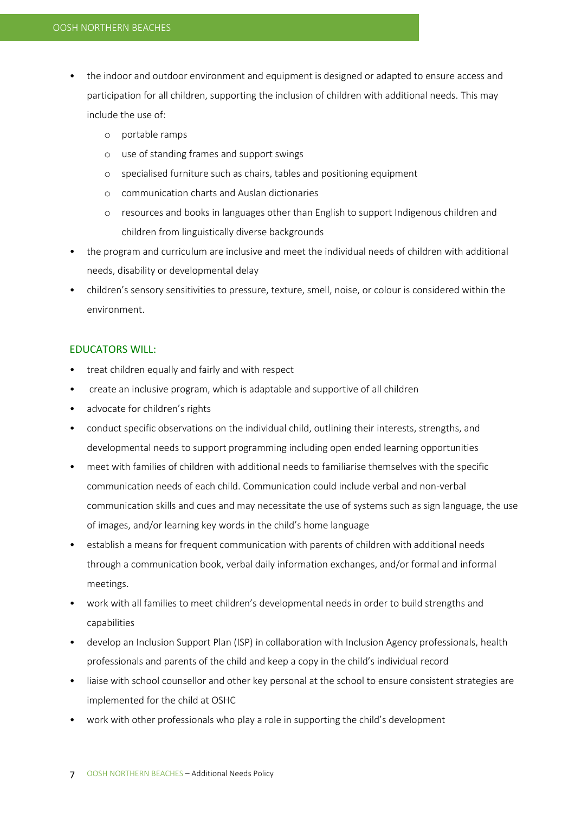- the indoor and outdoor environment and equipment is designed or adapted to ensure access and participation for all children, supporting the inclusion of children with additional needs. This may include the use of:
	- o portable ramps
	- o use of standing frames and support swings
	- o specialised furniture such as chairs, tables and positioning equipment
	- o communication charts and Auslan dictionaries
	- o resources and books in languages other than English to support Indigenous children and children from linguistically diverse backgrounds
- the program and curriculum are inclusive and meet the individual needs of children with additional needs, disability or developmental delay
- children's sensory sensitivities to pressure, texture, smell, noise, or colour is considered within the environment.

## EDUCATORS WILL:

- treat children equally and fairly and with respect
- create an inclusive program, which is adaptable and supportive of all children
- advocate for children's rights
- conduct specific observations on the individual child, outlining their interests, strengths, and developmental needs to support programming including open ended learning opportunities
- meet with families of children with additional needs to familiarise themselves with the specific communication needs of each child. Communication could include verbal and non-verbal communication skills and cues and may necessitate the use of systems such as sign language, the use of images, and/or learning key words in the child's home language
- establish a means for frequent communication with parents of children with additional needs through a communication book, verbal daily information exchanges, and/or formal and informal meetings.
- work with all families to meet children's developmental needs in order to build strengths and capabilities
- develop an Inclusion Support Plan (ISP) in collaboration with Inclusion Agency professionals, health professionals and parents of the child and keep a copy in the child's individual record
- liaise with school counsellor and other key personal at the school to ensure consistent strategies are implemented for the child at OSHC
- work with other professionals who play a role in supporting the child's development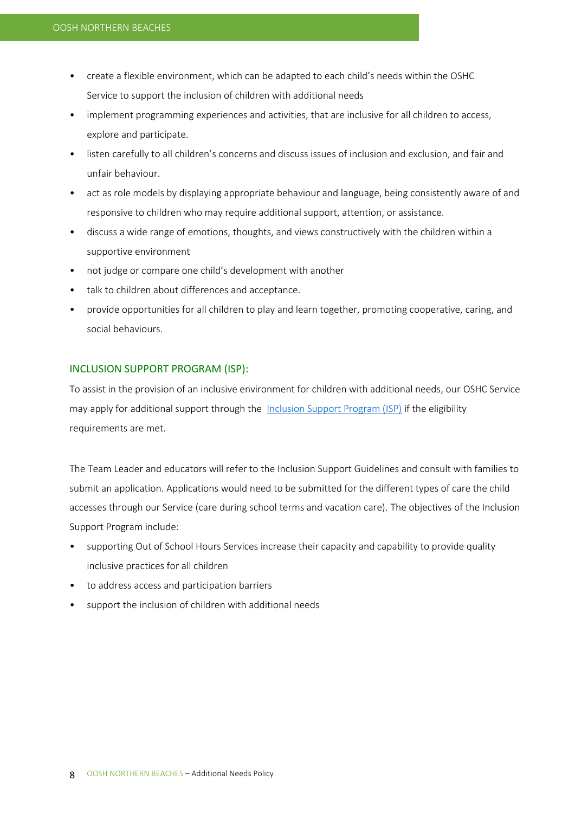- create a flexible environment, which can be adapted to each child's needs within the OSHC Service to support the inclusion of children with additional needs
- implement programming experiences and activities, that are inclusive for all children to access, explore and participate.
- listen carefully to all children's concerns and discuss issues of inclusion and exclusion, and fair and unfair behaviour.
- act as role models by displaying appropriate behaviour and language, being consistently aware of and responsive to children who may require additional support, attention, or assistance.
- discuss a wide range of emotions, thoughts, and views constructively with the children within a supportive environment
- not judge or compare one child's development with another
- talk to children about differences and acceptance.
- provide opportunities for all children to play and learn together, promoting cooperative, caring, and social behaviours.

### INCLUSION SUPPORT PROGRAM (ISP):

To assist in the provision of an inclusive environment for children with additional needs, our OSHC Service may apply for additional support through the [Inclusion Support Program \(ISP\)](https://www.education.gov.au/inclusion-support-program-isp) if the eligibility requirements are met.

The Team Leader and educators will refer to the Inclusion Support Guidelines and consult with families to submit an application. Applications would need to be submitted for the different types of care the child accesses through our Service (care during school terms and vacation care). The objectives of the Inclusion Support Program include:

- supporting Out of School Hours Services increase their capacity and capability to provide quality inclusive practices for all children
- to address access and participation barriers
- support the inclusion of children with additional needs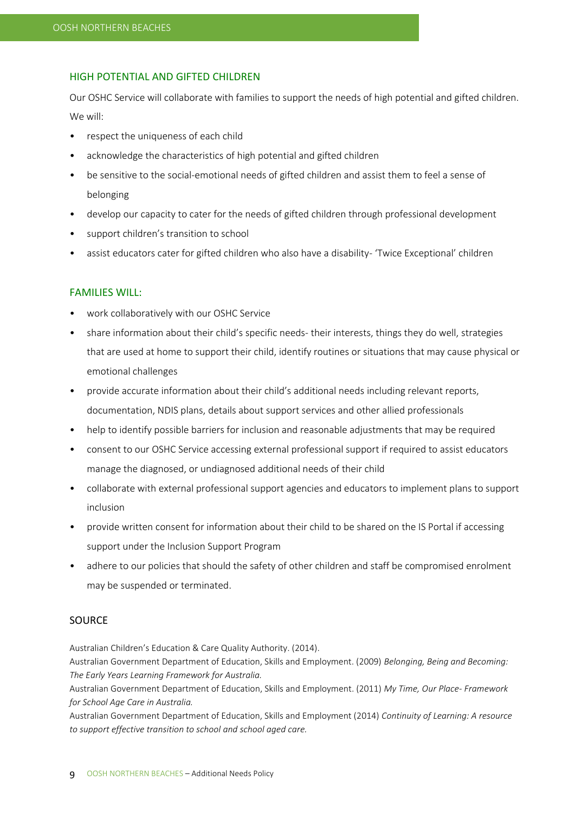### HIGH POTENTIAL AND GIFTED CHILDREN

Our OSHC Service will collaborate with families to support the needs of high potential and gifted children. We will:

- respect the uniqueness of each child
- acknowledge the characteristics of high potential and gifted children
- be sensitive to the social-emotional needs of gifted children and assist them to feel a sense of belonging
- develop our capacity to cater for the needs of gifted children through professional development
- support children's transition to school
- assist educators cater for gifted children who also have a disability- 'Twice Exceptional' children

#### FAMILIES WILL:

- work collaboratively with our OSHC Service
- share information about their child's specific needs- their interests, things they do well, strategies that are used at home to support their child, identify routines or situations that may cause physical or emotional challenges
- provide accurate information about their child's additional needs including relevant reports, documentation, NDIS plans, details about support services and other allied professionals
- help to identify possible barriers for inclusion and reasonable adjustments that may be required
- consent to our OSHC Service accessing external professional support if required to assist educators manage the diagnosed, or undiagnosed additional needs of their child
- collaborate with external professional support agencies and educators to implement plans to support inclusion
- provide written consent for information about their child to be shared on the IS Portal if accessing support under the Inclusion Support Program
- adhere to our policies that should the safety of other children and staff be compromised enrolment may be suspended or terminated.

## **SOURCE**

Australian Children's Education & Care Quality Authority. (2014).

Australian Government Department of Education, Skills and Employment. (2009) *Belonging, Being and Becoming: The Early Years Learning Framework for Australia.*

Australian Government Department of Education, Skills and Employment. (2011) *My Time, Our Place- Framework for School Age Care in Australia.*

Australian Government Department of Education, Skills and Employment (2014) *Continuity of Learning: A resource to support effective transition to school and school aged care.*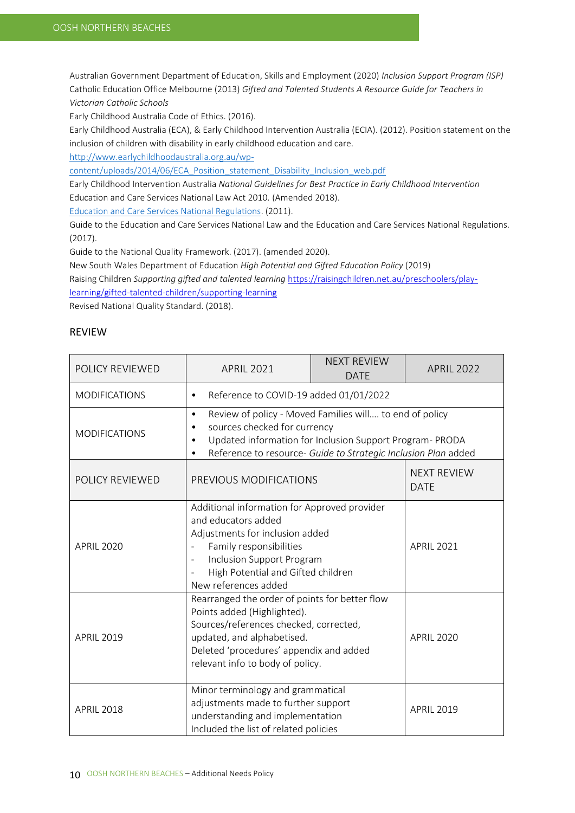Australian Government Department of Education, Skills and Employment (2020) *Inclusion Support Program (ISP)*  Catholic Education Office Melbourne (2013) *Gifted and Talented Students A Resource Guide for Teachers in Victorian Catholic Schools*

Early Childhood Australia Code of Ethics. (2016).

Early Childhood Australia (ECA), & Early Childhood Intervention Australia (ECIA). (2012). Position statement on the inclusion of children with disability in early childhood education and care.

[http://www.earlychildhoodaustralia.org.au/wp-](http://www.earlychildhoodaustralia.org.au/wp-content/uploads/2014/06/ECA_Position_statement_Disability_Inclusion_web.pdf)

[content/uploads/2014/06/ECA\\_Position\\_statement\\_Disability\\_Inclusion\\_web.pdf](http://www.earlychildhoodaustralia.org.au/wp-content/uploads/2014/06/ECA_Position_statement_Disability_Inclusion_web.pdf)

Early Childhood Intervention Australia *National Guidelines for Best Practice in Early Childhood Intervention* Education and Care Services National Law Act 2010*.* (Amended 2018).

[Education and Care Services National Regulations.](https://www.legislation.nsw.gov.au/view/html/inforce/current/sl-2011-0653?query=((Repealed%3DN+AND+PrintType%3D%22act.reprint%22+AND+PitValid%3D@pointInTime(20200831000000))+OR+(Repealed%3DN+AND+PrintType%3D%22reprint%22+AND+PitValid%3D@pointInTime(20200831000000))+OR+(Repealed%3DN+AND+(PrintType%3D%22epi.reprint%22+OR+PrintType%3D%22epi.electronic%22)+AND+PitValid%3D@pointInTime(20200831000000)))+AND+Content%3D(%22early%22+AND+%22childhood%22)&dQuery=Document+Types%3D%22%3Cspan+class%3D%27dq-highlight%27%3EActs%3C/span%3E,+%3Cspan+class%3D%27dq-highlight%27%3ERegulations%3C/span%3E,+%3Cspan+class%3D%27dq-highlight%27%3EEPIs%3C/span%3E%22,+Search+In%3D%22%3Cspan+class%3D%27dq-highlight%27%3EAll+Content%3C/span%3E%22,+All+Words%3D%22%3Cspan+class%3D%27dq-highlight%27%3Eearly+childhood%3C/span%3E%22,+Point+In+Time%3D%22%3Cspan+class%3D%27dq-highlight%27%3E31/08/2020%3C/span%3E%22) (2011).

Guide to the Education and Care Services National Law and the Education and Care Services National Regulations. (2017).

Guide to the National Quality Framework. (2017). (amended 2020).

New South Wales Department of Education *High Potential and Gifted Education Policy* (2019)

Raising Children *Supporting gifted and talented learning* [https://raisingchildren.net.au/preschoolers/play-](https://raisingchildren.net.au/preschoolers/play-learning/gifted-talented-children/supporting-learning)

[learning/gifted-talented-children/supporting-learning](https://raisingchildren.net.au/preschoolers/play-learning/gifted-talented-children/supporting-learning)

Revised National Quality Standard. (2018).

## REVIEW

| POLICY REVIEWED      | <b>APRIL 2021</b>                                                                                                                                                                                                                                                         | <b>NEXT REVIEW</b><br><b>DATE</b> | <b>APRIL 2022</b>                 |
|----------------------|---------------------------------------------------------------------------------------------------------------------------------------------------------------------------------------------------------------------------------------------------------------------------|-----------------------------------|-----------------------------------|
| <b>MODIFICATIONS</b> | Reference to COVID-19 added 01/01/2022<br>$\bullet$                                                                                                                                                                                                                       |                                   |                                   |
| <b>MODIFICATIONS</b> | Review of policy - Moved Families will to end of policy<br>$\bullet$<br>sources checked for currency<br>$\bullet$<br>Updated information for Inclusion Support Program- PRODA<br>$\bullet$<br>Reference to resource- Guide to Strategic Inclusion Plan added<br>$\bullet$ |                                   |                                   |
| POLICY REVIEWED      | PREVIOUS MODIFICATIONS                                                                                                                                                                                                                                                    |                                   | <b>NEXT REVIEW</b><br><b>DATE</b> |
| <b>APRIL 2020</b>    | Additional information for Approved provider<br>and educators added<br>Adjustments for inclusion added<br>Family responsibilities<br>Inclusion Support Program<br>$\blacksquare$<br>High Potential and Gifted children<br>New references added                            |                                   | <b>APRIL 2021</b>                 |
| <b>APRIL 2019</b>    | Rearranged the order of points for better flow<br>Points added (Highlighted).<br>Sources/references checked, corrected,<br>updated, and alphabetised.<br>Deleted 'procedures' appendix and added<br>relevant info to body of policy.                                      |                                   | <b>APRIL 2020</b>                 |
| <b>APRIL 2018</b>    | Minor terminology and grammatical<br>adjustments made to further support<br>understanding and implementation<br>Included the list of related policies                                                                                                                     |                                   | <b>APRIL 2019</b>                 |